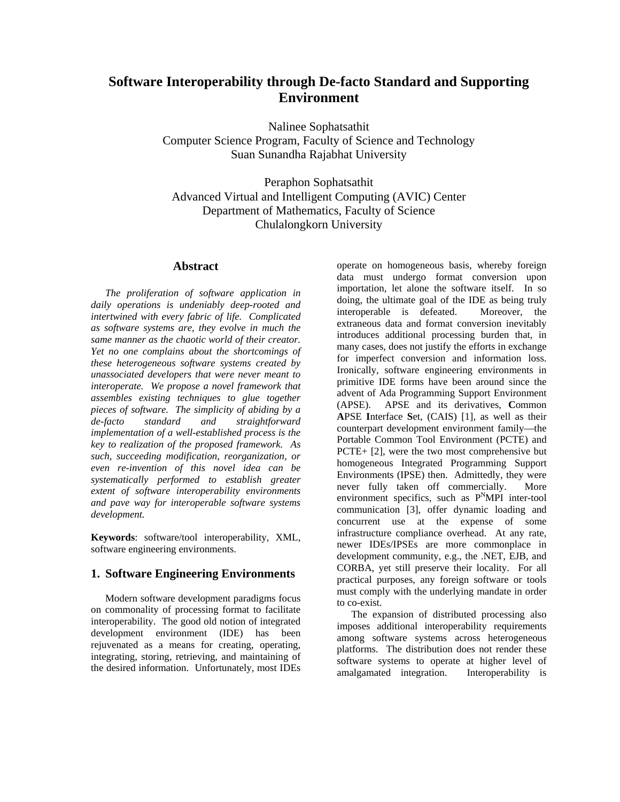# **Software Interoperability through De-facto Standard and Supporting Environment**

Nalinee Sophatsathit Computer Science Program, Faculty of Science and Technology Suan Sunandha Rajabhat University

Peraphon Sophatsathit Advanced Virtual and Intelligent Computing (AVIC) Center Department of Mathematics, Faculty of Science Chulalongkorn University

#### **Abstract**

*The proliferation of software application in daily operations is undeniably deep-rooted and intertwined with every fabric of life. Complicated as software systems are, they evolve in much the same manner as the chaotic world of their creator. Yet no one complains about the shortcomings of these heterogeneous software systems created by unassociated developers that were never meant to interoperate. We propose a novel framework that assembles existing techniques to glue together pieces of software. The simplicity of abiding by a de-facto standard and straightforward implementation of a well-established process is the key to realization of the proposed framework. As such, succeeding modification, reorganization, or even re-invention of this novel idea can be systematically performed to establish greater extent of software interoperability environments and pave way for interoperable software systems development.* 

**Keywords**: software/tool interoperability, XML, software engineering environments.

### **1. Software Engineering Environments**

Modern software development paradigms focus on commonality of processing format to facilitate interoperability. The good old notion of integrated development environment (IDE) has been rejuvenated as a means for creating, operating, integrating, storing, retrieving, and maintaining of the desired information. Unfortunately, most IDEs operate on homogeneous basis, whereby foreign data must undergo format conversion upon importation, let alone the software itself. In so doing, the ultimate goal of the IDE as being truly interoperable is defeated. Moreover, the extraneous data and format conversion inevitably introduces additional processing burden that, in many cases, does not justify the efforts in exchange for imperfect conversion and information loss. Ironically, software engineering environments in primitive IDE forms have been around since the advent of Ada Programming Support Environment (APSE). APSE and its derivatives, **C**ommon **A**PSE **I**nterface **S**et, (CAIS) [1], as well as their counterpart development environment family—the Portable Common Tool Environment (PCTE) and PCTE+ [2], were the two most comprehensive but homogeneous Integrated Programming Support Environments (IPSE) then. Admittedly, they were never fully taken off commercially. More environment specifics, such as  $P^{N}MPI$  inter-tool communication [3], offer dynamic loading and concurrent use at the expense of some infrastructure compliance overhead. At any rate, newer IDEs/IPSEs are more commonplace in development community, e.g., the .NET, EJB, and CORBA, yet still preserve their locality. For all practical purposes, any foreign software or tools must comply with the underlying mandate in order to co-exist.

 The expansion of distributed processing also imposes additional interoperability requirements among software systems across heterogeneous platforms. The distribution does not render these software systems to operate at higher level of amalgamated integration. Interoperability is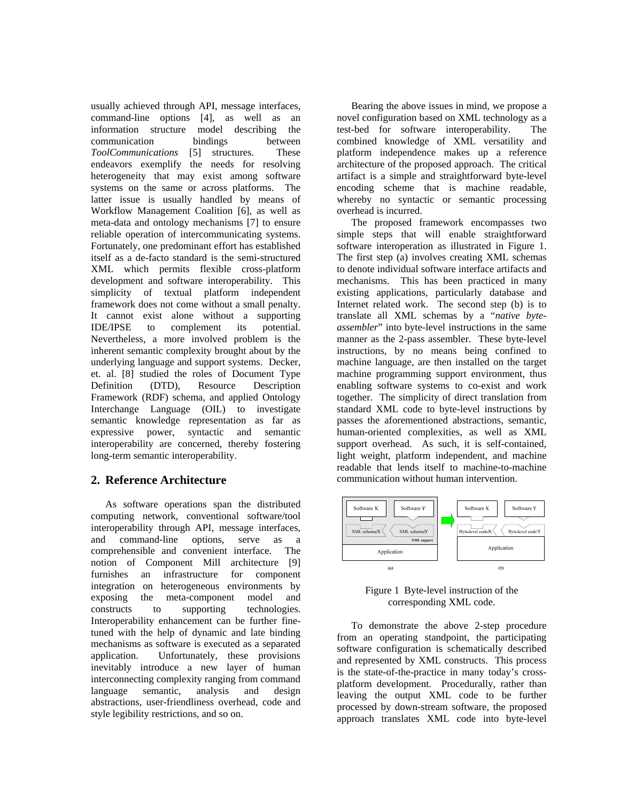usually achieved through API, message interfaces, command-line options [4], as well as an information structure model describing the communication bindings between *ToolCommunications* [5] structures. These endeavors exemplify the needs for resolving heterogeneity that may exist among software systems on the same or across platforms. The latter issue is usually handled by means of Workflow Management Coalition [6], as well as meta-data and ontology mechanisms [7] to ensure reliable operation of intercommunicating systems. Fortunately, one predominant effort has established itself as a de-facto standard is the semi-structured XML which permits flexible cross-platform development and software interoperability. This simplicity of textual platform independent framework does not come without a small penalty. It cannot exist alone without a supporting IDE/IPSE to complement its potential. Nevertheless, a more involved problem is the inherent semantic complexity brought about by the underlying language and support systems. Decker, et. al. [8] studied the roles of Document Type Definition (DTD), Resource Description Framework (RDF) schema, and applied Ontology Interchange Language (OIL) to investigate semantic knowledge representation as far as expressive power, syntactic and semantic interoperability are concerned, thereby fostering long-term semantic interoperability.

## **2. Reference Architecture**

 As software operations span the distributed computing network, conventional software/tool interoperability through API, message interfaces, and command-line options, serve as a comprehensible and convenient interface. The notion of Component Mill architecture [9] furnishes an infrastructure for component integration on heterogeneous environments by exposing the meta-component model and constructs to supporting technologies. Interoperability enhancement can be further finetuned with the help of dynamic and late binding mechanisms as software is executed as a separated application. Unfortunately, these provisions inevitably introduce a new layer of human interconnecting complexity ranging from command language semantic, analysis and design abstractions, user-friendliness overhead, code and style legibility restrictions, and so on.

 Bearing the above issues in mind, we propose a novel configuration based on XML technology as a test-bed for software interoperability. The combined knowledge of XML versatility and platform independence makes up a reference architecture of the proposed approach. The critical artifact is a simple and straightforward byte-level encoding scheme that is machine readable, whereby no syntactic or semantic processing overhead is incurred.

 The proposed framework encompasses two simple steps that will enable straightforward software interoperation as illustrated in Figure 1. The first step (a) involves creating XML schemas to denote individual software interface artifacts and mechanisms. This has been practiced in many existing applications, particularly database and Internet related work. The second step (b) is to translate all XML schemas by a "*native byteassembler*" into byte-level instructions in the same manner as the 2-pass assembler. These byte-level instructions, by no means being confined to machine language, are then installed on the target machine programming support environment, thus enabling software systems to co-exist and work together. The simplicity of direct translation from standard XML code to byte-level instructions by passes the aforementioned abstractions, semantic, human-oriented complexities, as well as XML support overhead. As such, it is self-contained, light weight, platform independent, and machine readable that lends itself to machine-to-machine communication without human intervention.



Figure 1 Byte-level instruction of the corresponding XML code.

 To demonstrate the above 2-step procedure from an operating standpoint, the participating software configuration is schematically described and represented by XML constructs. This process is the state-of-the-practice in many today's crossplatform development. Procedurally, rather than leaving the output XML code to be further processed by down-stream software, the proposed approach translates XML code into byte-level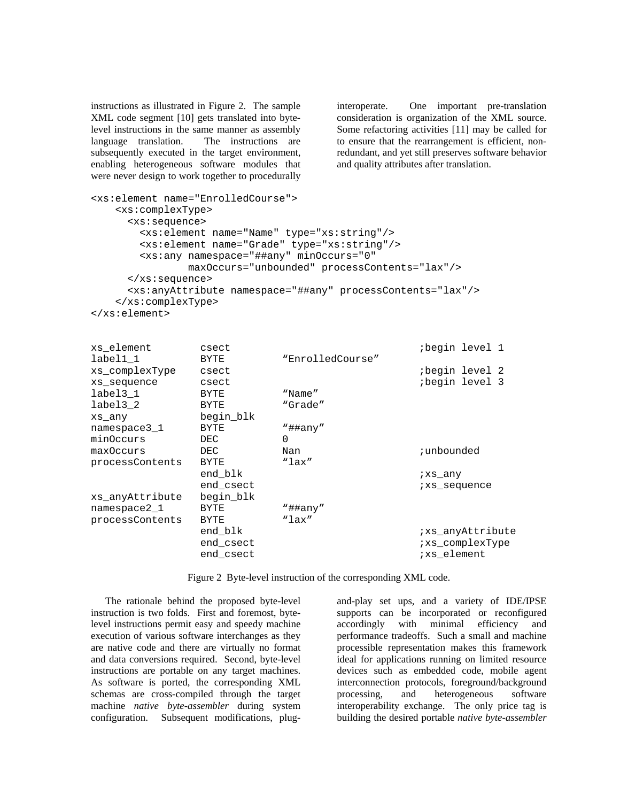instructions as illustrated in Figure 2. The sample XML code segment [10] gets translated into bytelevel instructions in the same manner as assembly language translation. The instructions are subsequently executed in the target environment, enabling heterogeneous software modules that were never design to work together to procedurally interoperate. One important pre-translation consideration is organization of the XML source. Some refactoring activities [11] may be called for to ensure that the rearrangement is efficient, nonredundant, and yet still preserves software behavior and quality attributes after translation.

```
<xs:element name="EnrolledCourse"> 
     <xs:complexType> 
       <xs:sequence> 
         <xs:element name="Name" type="xs:string"/> 
         <xs:element name="Grade" type="xs:string"/> 
         <xs:any namespace="##any" minOccurs="0" 
                  maxOccurs="unbounded" processContents="lax"/> 
       </xs:sequence> 
       <xs:anyAttribute namespace="##any" processContents="lax"/> 
     </xs:complexType> 
</xs:element>
```

| xs element      | csect     |                  | begin level 1;   |
|-----------------|-----------|------------------|------------------|
| label1 1        | BYTE      | "EnrolledCourse" |                  |
| xs complexType  | csect     |                  | begin level 2;   |
| xs_sequence     | csect     |                  | begin level 3    |
| label3 1        | BYTE      | "Name"           |                  |
| label3 2        | BYTE      | "Grade"          |                  |
| xs any          | begin blk |                  |                  |
| namespace3 1    | BYTE      | "##any"          |                  |
| minOccurs       | DEC       | $\Omega$         |                  |
| maxOccurs       | DEC       | Nan              | ; unbounded      |
| processContents | BYTE      | "lax"            |                  |
|                 | end blk   |                  | ixs any          |
|                 | end csect |                  | ixs_sequence     |
| xs anyAttribute | begin blk |                  |                  |
| namespace2 1    | BYTE      | "##any"          |                  |
| processContents | BYTE      | " $lax$ "        |                  |
|                 | end blk   |                  | ixs anyAttribute |
|                 | end csect |                  | ixs complexType  |
|                 | end csect |                  | ixs element      |

Figure 2 Byte-level instruction of the corresponding XML code.

 The rationale behind the proposed byte-level instruction is two folds. First and foremost, bytelevel instructions permit easy and speedy machine execution of various software interchanges as they are native code and there are virtually no format and data conversions required. Second, byte-level instructions are portable on any target machines. As software is ported, the corresponding XML schemas are cross-compiled through the target machine *native byte-assembler* during system configuration. Subsequent modifications, plugand-play set ups, and a variety of IDE/IPSE supports can be incorporated or reconfigured accordingly with minimal efficiency and performance tradeoffs. Such a small and machine processible representation makes this framework ideal for applications running on limited resource devices such as embedded code, mobile agent interconnection protocols, foreground/background processing, and heterogeneous software interoperability exchange. The only price tag is building the desired portable *native byte-assembler*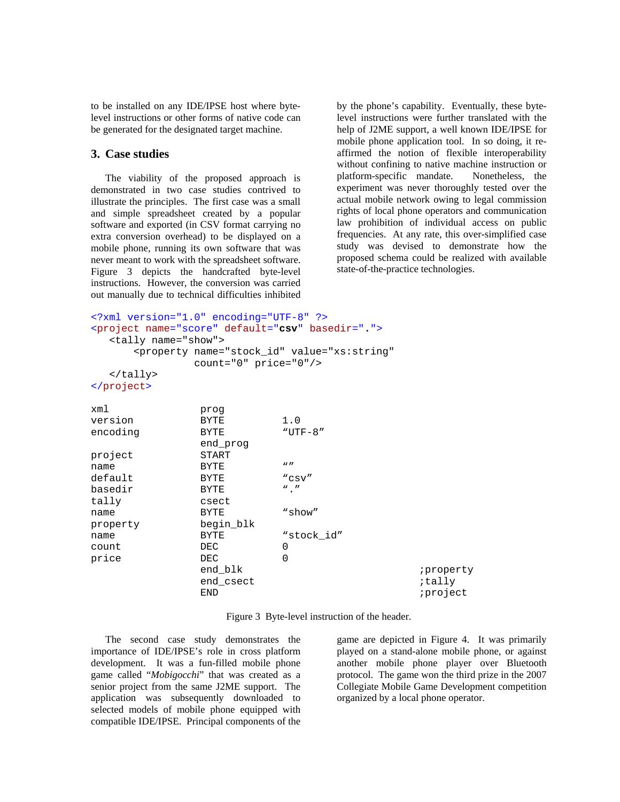to be installed on any IDE/IPSE host where bytelevel instructions or other forms of native code can be generated for the designated target machine.

#### **3. Case studies**

 The viability of the proposed approach is demonstrated in two case studies contrived to illustrate the principles. The first case was a small and simple spreadsheet created by a popular software and exported (in CSV format carrying no extra conversion overhead) to be displayed on a mobile phone, running its own software that was never meant to work with the spreadsheet software. Figure 3 depicts the handcrafted byte-level instructions. However, the conversion was carried out manually due to technical difficulties inhibited

by the phone's capability. Eventually, these bytelevel instructions were further translated with the help of J2ME support, a well known IDE/IPSE for mobile phone application tool. In so doing, it reaffirmed the notion of flexible interoperability without confining to native machine instruction or platform-specific mandate. Nonetheless, the experiment was never thoroughly tested over the actual mobile network owing to legal commission rights of local phone operators and communication law prohibition of individual access on public frequencies. At any rate, this over-simplified case study was devised to demonstrate how the proposed schema could be realized with available state-of-the-practice technologies.

```
<?xml version="1.0" encoding="UTF-8" ?>
<project name="score" default="csv" basedir=".">
   <tally name="show"> 
      <property name="stock_id" value="xs:string" 
             count="0" price="0"/> 
   </tally> 
</project>
xml prog 
version BYTE 1.0 
encoding BYTE "UTF-8" 
              end_prog 
project START 
name BYTE ""
default BYTE "csv"
basedir BYTE "."
tally csect 
name BYTE "show"
```

| property | begin_blk |            |           |
|----------|-----------|------------|-----------|
| name     | BYTE      | "stock id" |           |
| count    | DEC       |            |           |
| price    | DEC.      |            |           |
|          | end blk   |            | iproperty |
|          | end csect |            | ;tally    |
|          | END       |            | iproject  |
|          |           |            |           |

Figure 3 Byte-level instruction of the header.

 The second case study demonstrates the importance of IDE/IPSE's role in cross platform development. It was a fun-filled mobile phone game called "*Mobigocchi*" that was created as a senior project from the same J2ME support. The application was subsequently downloaded to selected models of mobile phone equipped with compatible IDE/IPSE. Principal components of the

game are depicted in Figure 4. It was primarily played on a stand-alone mobile phone, or against another mobile phone player over Bluetooth protocol. The game won the third prize in the 2007 Collegiate Mobile Game Development competition organized by a local phone operator.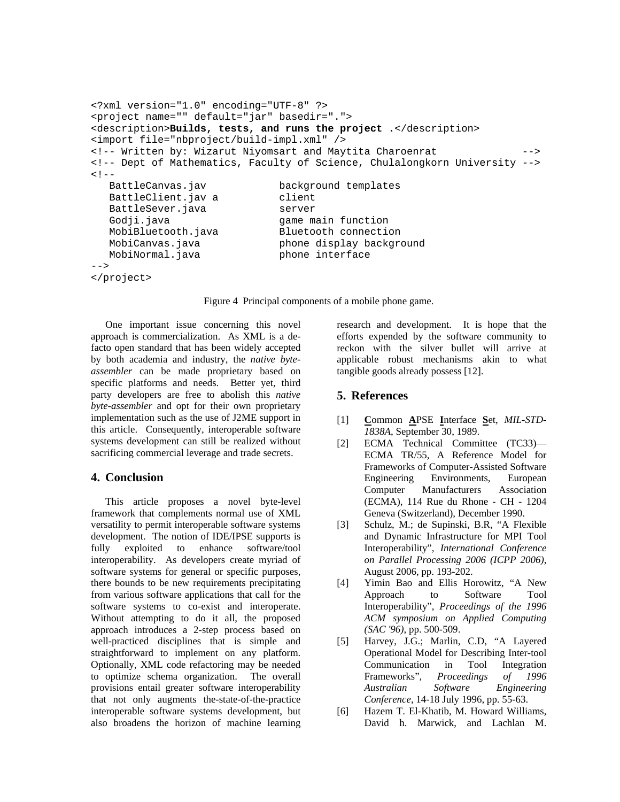```
<?xml version="1.0" encoding="UTF-8" ?> 
<project name="" default="jar" basedir="."> 
<description>Builds, tests, and runs the project .</description> 
<import file="nbproject/build-impl.xml" /> 
<!-- Written by: Wizarut Niyomsart and Maytita Charoenrat
<!-- Dept of Mathematics, Faculty of Science, Chulalongkorn University --> 
< ! - -BattleCanvas.jav background templates
  BattleClient.jav a client
  BattleSever.java server
  Godji.java qame main function
   MobiBluetooth.java Bluetooth connection 
  MobiCanvas.java phone display background
  MobiNormal.java phone interface
-->
```

```
</project>
```
Figure 4 Principal components of a mobile phone game.

 One important issue concerning this novel approach is commercialization. As XML is a defacto open standard that has been widely accepted by both academia and industry, the *native byteassembler* can be made proprietary based on specific platforms and needs. Better yet, third party developers are free to abolish this *native byte-assembler* and opt for their own proprietary implementation such as the use of J2ME support in this article. Consequently, interoperable software systems development can still be realized without sacrificing commercial leverage and trade secrets.

### **4. Conclusion**

 This article proposes a novel byte-level framework that complements normal use of XML versatility to permit interoperable software systems development. The notion of IDE/IPSE supports is fully exploited to enhance software/tool interoperability. As developers create myriad of software systems for general or specific purposes, there bounds to be new requirements precipitating from various software applications that call for the software systems to co-exist and interoperate. Without attempting to do it all, the proposed approach introduces a 2-step process based on well-practiced disciplines that is simple and straightforward to implement on any platform. Optionally, XML code refactoring may be needed to optimize schema organization. The overall provisions entail greater software interoperability that not only augments the-state-of-the-practice interoperable software systems development, but also broadens the horizon of machine learning research and development. It is hope that the efforts expended by the software community to reckon with the silver bullet will arrive at applicable robust mechanisms akin to what tangible goods already possess [12].

# **5. References**

- [1] **C**ommon **A**PSE **I**nterface **S**et, *MIL-STD-1838A*, September 30, 1989.
- [2] ECMA Technical Committee (TC33)— ECMA TR/55, A Reference Model for Frameworks of Computer-Assisted Software Engineering Environments, European Computer Manufacturers Association (ECMA), 114 Rue du Rhone - CH - 1204 Geneva (Switzerland), December 1990.
- [3] Schulz, M.; de Supinski, B.R, "A Flexible and Dynamic Infrastructure for MPI Tool Interoperability", *International Conference on Parallel Processing 2006 (ICPP 2006)*, August 2006, pp. 193-202.
- [4] Yimin Bao and Ellis Horowitz, "A New Approach to Software Tool Interoperability", *Proceedings of the 1996 ACM symposium on Applied Computing (SAC '96)*, pp. 500-509.
- [5] Harvey, J.G.; Marlin, C.D, "A Layered Operational Model for Describing Inter-tool Communication in Tool Integration Frameworks", *Proceedings of 1996 Australian [Software Engineering](http://ieeexplore.ieee.org/xpl/RecentCon.jsp?punumber=3810)  [Conference,](http://ieeexplore.ieee.org/xpl/RecentCon.jsp?punumber=3810)* 14-18 July 1996, pp. 55-63.
- [6] Hazem T. El-Khatib, M. Howard Williams, David h. Marwick, and Lachlan M.